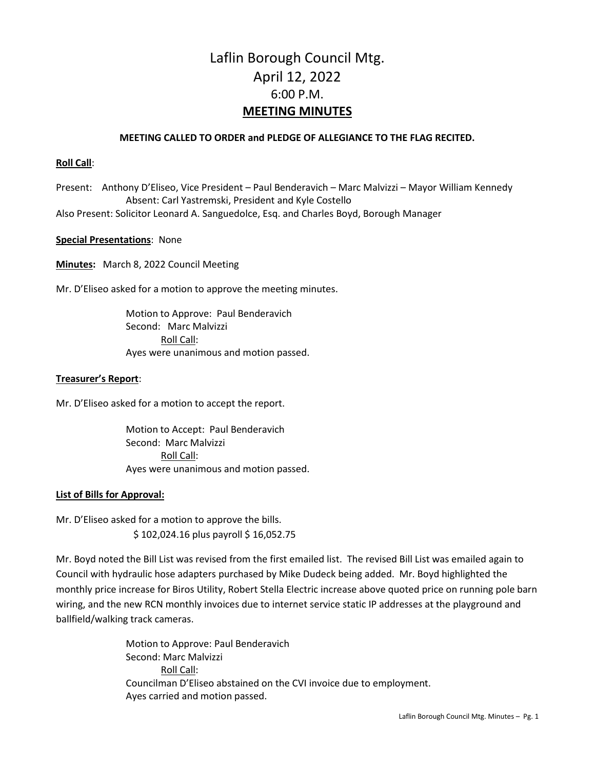# Laflin Borough Council Mtg. April 12, 2022 6:00 P.M. **MEETING MINUTES**

## **MEETING CALLED TO ORDER and PLEDGE OF ALLEGIANCE TO THE FLAG RECITED.**

### **Roll Call**:

Present: Anthony D'Eliseo, Vice President – Paul Benderavich – Marc Malvizzi – Mayor William Kennedy Absent: Carl Yastremski, President and Kyle Costello Also Present: Solicitor Leonard A. Sanguedolce, Esq. and Charles Boyd, Borough Manager

## **Special Presentations**: None

**Minutes:** March 8, 2022 Council Meeting

Mr. D'Eliseo asked for a motion to approve the meeting minutes.

Motion to Approve: Paul Benderavich Second: Marc Malvizzi Roll Call: Ayes were unanimous and motion passed.

### **Treasurer's Report**:

Mr. D'Eliseo asked for a motion to accept the report.

Motion to Accept: Paul Benderavich Second: Marc Malvizzi Roll Call: Ayes were unanimous and motion passed.

# **List of Bills for Approval:**

Mr. D'Eliseo asked for a motion to approve the bills. \$102,024.16 plus payroll \$16,052.75

Mr. Boyd noted the Bill List was revised from the first emailed list. The revised Bill List was emailed again to Council with hydraulic hose adapters purchased by Mike Dudeck being added. Mr. Boyd highlighted the monthly price increase for Biros Utility, Robert Stella Electric increase above quoted price on running pole barn wiring, and the new RCN monthly invoices due to internet service static IP addresses at the playground and ballfield/walking track cameras.

> Motion to Approve: Paul Benderavich Second: Marc Malvizzi Roll Call: Councilman D'Eliseo abstained on the CVI invoice due to employment. Ayes carried and motion passed.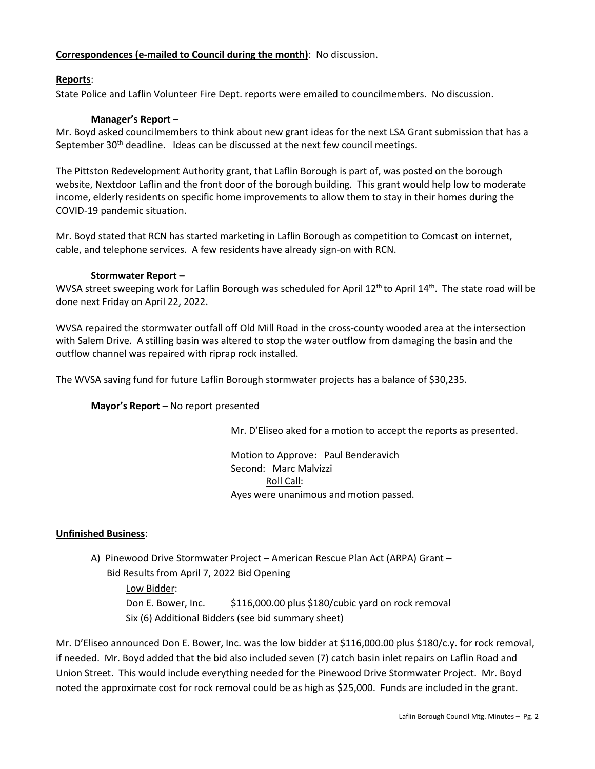# **Correspondences (e-mailed to Council during the month)**: No discussion.

# **Reports**:

State Police and Laflin Volunteer Fire Dept. reports were emailed to councilmembers. No discussion.

# **Manager's Report** –

Mr. Boyd asked councilmembers to think about new grant ideas for the next LSA Grant submission that has a September  $30<sup>th</sup>$  deadline. Ideas can be discussed at the next few council meetings.

The Pittston Redevelopment Authority grant, that Laflin Borough is part of, was posted on the borough website, Nextdoor Laflin and the front door of the borough building. This grant would help low to moderate income, elderly residents on specific home improvements to allow them to stay in their homes during the COVID-19 pandemic situation.

Mr. Boyd stated that RCN has started marketing in Laflin Borough as competition to Comcast on internet, cable, and telephone services. A few residents have already sign-on with RCN.

# **Stormwater Report –**

WVSA street sweeping work for Laflin Borough was scheduled for April 12<sup>th</sup> to April 14<sup>th</sup>. The state road will be done next Friday on April 22, 2022.

WVSA repaired the stormwater outfall off Old Mill Road in the cross-county wooded area at the intersection with Salem Drive. A stilling basin was altered to stop the water outflow from damaging the basin and the outflow channel was repaired with riprap rock installed.

The WVSA saving fund for future Laflin Borough stormwater projects has a balance of \$30,235.

# **Mayor's Report** – No report presented

Mr. D'Eliseo aked for a motion to accept the reports as presented.

Motion to Approve: Paul Benderavich Second: Marc Malvizzi Roll Call: Ayes were unanimous and motion passed.

# **Unfinished Business**:

A) Pinewood Drive Stormwater Project – American Rescue Plan Act (ARPA) Grant –

 Bid Results from April 7, 2022 Bid Opening Low Bidder: Don E. Bower, Inc. \$116,000.00 plus \$180/cubic yard on rock removal Six (6) Additional Bidders (see bid summary sheet)

Mr. D'Eliseo announced Don E. Bower, Inc. was the low bidder at \$116,000.00 plus \$180/c.y. for rock removal, if needed. Mr. Boyd added that the bid also included seven (7) catch basin inlet repairs on Laflin Road and Union Street. This would include everything needed for the Pinewood Drive Stormwater Project. Mr. Boyd noted the approximate cost for rock removal could be as high as \$25,000. Funds are included in the grant.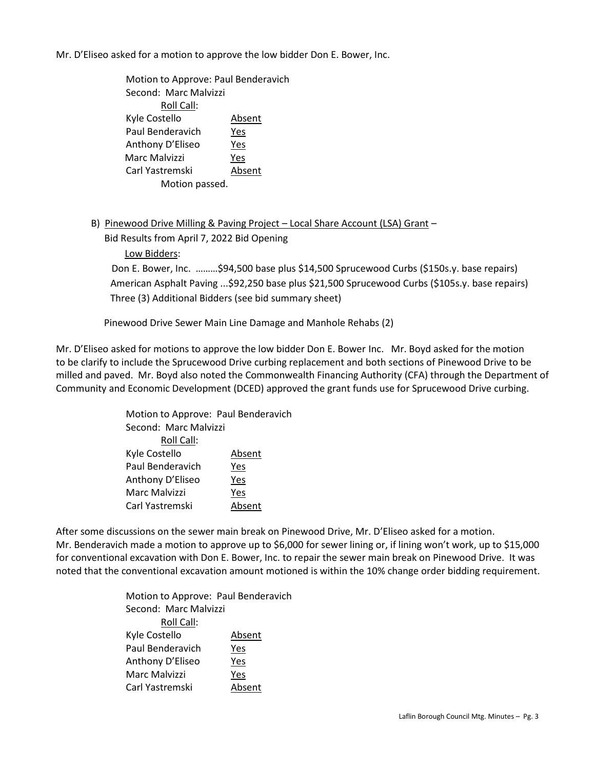Mr. D'Eliseo asked for a motion to approve the low bidder Don E. Bower, Inc.

Motion to Approve: Paul Benderavich Second: Marc Malvizzi Roll Call: Kyle Costello Absent Paul Benderavich Yes Anthony D'Eliseo Yes Marc Malvizzi Yes Carl Yastremski Absent Motion passed.

B) Pinewood Drive Milling & Paving Project – Local Share Account (LSA) Grant –

Bid Results from April 7, 2022 Bid Opening

Low Bidders:

 Don E. Bower, Inc. ………\$94,500 base plus \$14,500 Sprucewood Curbs (\$150s.y. base repairs) American Asphalt Paving ...\$92,250 base plus \$21,500 Sprucewood Curbs (\$105s.y. base repairs) Three (3) Additional Bidders (see bid summary sheet)

Pinewood Drive Sewer Main Line Damage and Manhole Rehabs (2)

Mr. D'Eliseo asked for motions to approve the low bidder Don E. Bower Inc. Mr. Boyd asked for the motion to be clarify to include the Sprucewood Drive curbing replacement and both sections of Pinewood Drive to be milled and paved. Mr. Boyd also noted the Commonwealth Financing Authority (CFA) through the Department of Community and Economic Development (DCED) approved the grant funds use for Sprucewood Drive curbing.

| Motion to Approve: Paul Benderavich |        |  |
|-------------------------------------|--------|--|
| Second: Marc Malvizzi               |        |  |
| Roll Call:                          |        |  |
| Kyle Costello                       | Absent |  |
| Paul Benderavich                    | Yes    |  |
| Anthony D'Eliseo                    | Yes    |  |
| Marc Malvizzi                       | Yes    |  |
| Carl Yastremski                     | Absent |  |

After some discussions on the sewer main break on Pinewood Drive, Mr. D'Eliseo asked for a motion. Mr. Benderavich made a motion to approve up to \$6,000 for sewer lining or, if lining won't work, up to \$15,000 for conventional excavation with Don E. Bower, Inc. to repair the sewer main break on Pinewood Drive. It was noted that the conventional excavation amount motioned is within the 10% change order bidding requirement.

> Motion to Approve: Paul Benderavich Second: Marc Malvizzi Roll Call: Kyle Costello **Absent** Paul Benderavich Yes Anthony D'Eliseo Yes Marc Malvizzi Yes Carl Yastremski Absent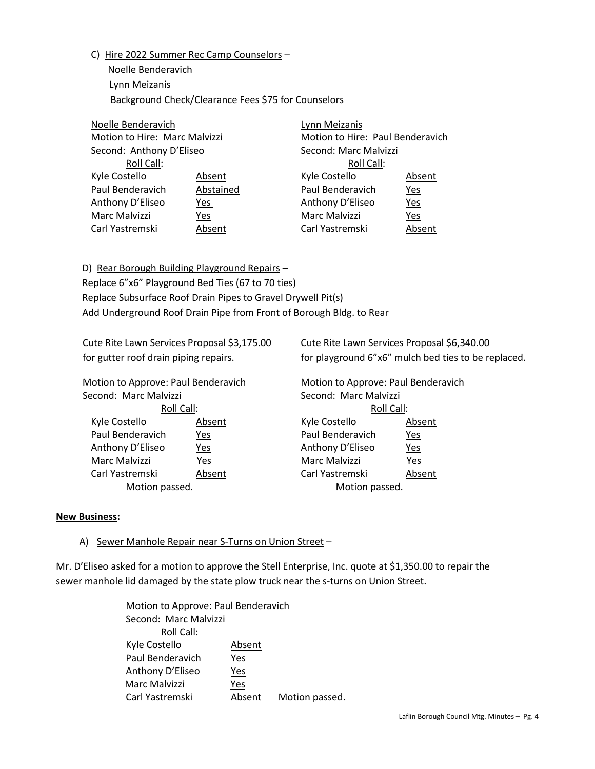C) Hire 2022 Summer Rec Camp Counselors –

 Noelle Benderavich Lynn Meizanis Background Check/Clearance Fees \$75 for Counselors

|  | Noelle Benderavich<br>Motion to Hire: Marc Malvizzi |           | Lynn Meizanis                    |            |  |
|--|-----------------------------------------------------|-----------|----------------------------------|------------|--|
|  |                                                     |           | Motion to Hire: Paul Benderavich |            |  |
|  | Second: Anthony D'Eliseo                            |           | Second: Marc Malvizzi            |            |  |
|  | Roll Call:                                          |           | Roll Call:                       |            |  |
|  | Kyle Costello                                       | Absent    | Kyle Costello                    | Absent     |  |
|  | Paul Benderavich                                    | Abstained | Paul Benderavich                 | <u>Yes</u> |  |
|  | Anthony D'Eliseo                                    | Yes       | Anthony D'Eliseo                 | Yes        |  |
|  | Marc Malvizzi                                       | Yes       | Marc Malvizzi                    | Yes        |  |
|  | Carl Yastremski                                     | Absent    | Carl Yastremski                  | Absent     |  |
|  |                                                     |           |                                  |            |  |

D) Rear Borough Building Playground Repairs – Replace 6"x6" Playground Bed Ties (67 to 70 ties) Replace Subsurface Roof Drain Pipes to Gravel Drywell Pit(s) Add Underground Roof Drain Pipe from Front of Borough Bldg. to Rear

Cute Rite Lawn Services Proposal \$3,175.00 Cute Rite Lawn Services Proposal \$6,340.00

Motion to Approve: Paul Benderavich Motion to Approve: Paul Benderavich Second: Marc Malvizzi Second: Marc Malvizzi

Paul Benderavich Yes Paul Benderavich Yes Anthony D'Eliseo Yes Anthony D'Eliseo Yes Marc Malvizzi Yes Marc Malvizzi Yes

for gutter roof drain piping repairs. for playground 6"x6" mulch bed ties to be replaced.

Roll Call: Roll Call: Kyle Costello **Absent** Absent Kyle Costello Absent Carl Yastremski Absent Carl Yastremski Absent Motion passed. The massed of the Motion passed.

#### **New Business:**

# A) Sewer Manhole Repair near S-Turns on Union Street –

Mr. D'Eliseo asked for a motion to approve the Stell Enterprise, Inc. quote at \$1,350.00 to repair the sewer manhole lid damaged by the state plow truck near the s-turns on Union Street.

> Motion to Approve: Paul Benderavich Second: Marc Malvizzi Roll Call: Kyle Costello Absent Paul Benderavich Yes Anthony D'Eliseo Yes Marc Malvizzi Yes Carl Yastremski **Absent** Motion passed.